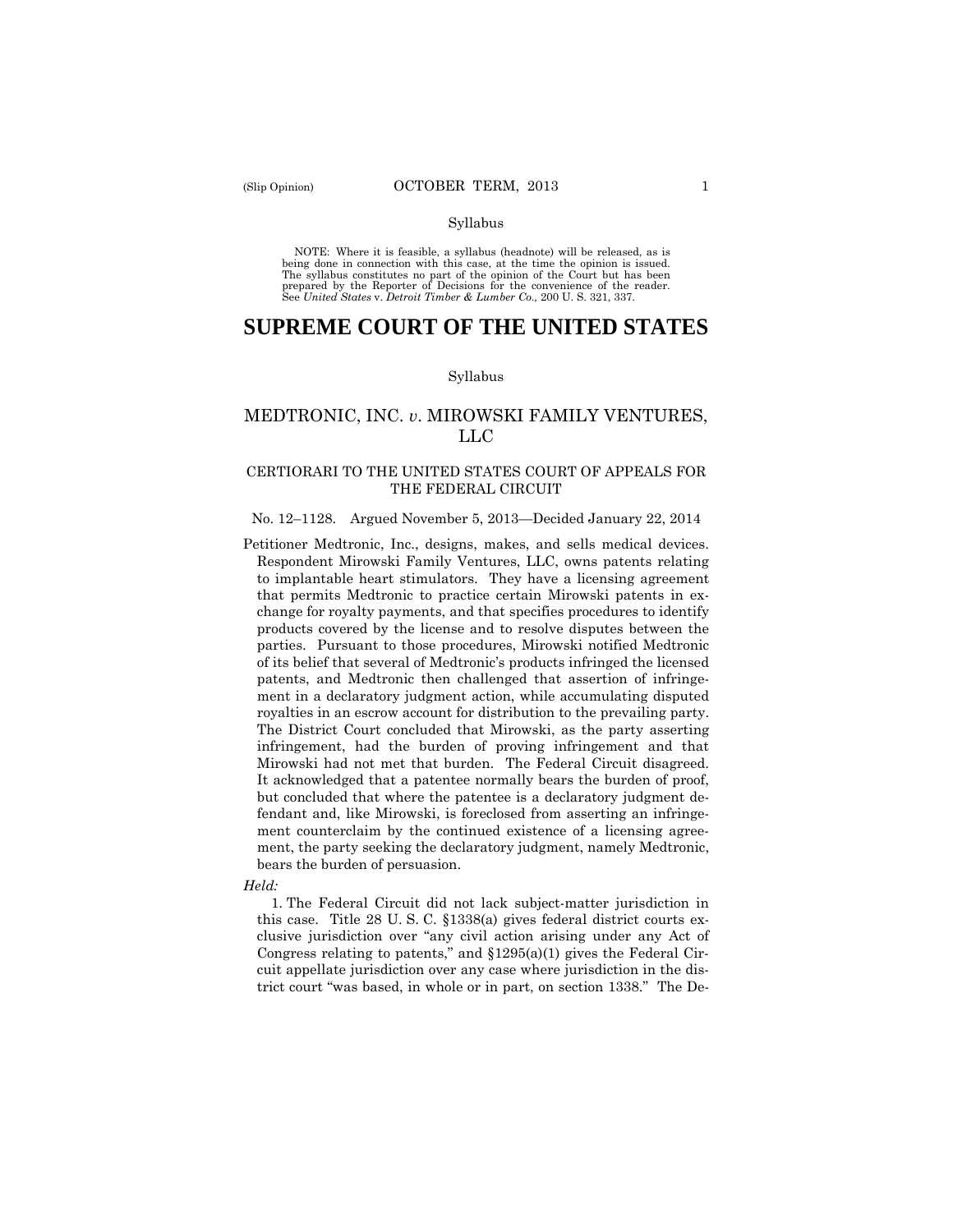#### Syllabus

 NOTE: Where it is feasible, a syllabus (headnote) will be released, as is being done in connection with this case, at the time the opinion is issued. The syllabus constitutes no part of the opinion of the Court but has been<br>prepared by the Reporter of Decisions for the convenience of the reader.<br>See United States v. Detroit Timber & Lumber Co., 200 U.S. 321, 337.

# **SUPREME COURT OF THE UNITED STATES**

#### Syllabus

## MEDTRONIC, INC. *v*. MIROWSKI FAMILY VENTURES, LLC

## CERTIORARI TO THE UNITED STATES COURT OF APPEALS FOR THE FEDERAL CIRCUIT

#### No. 12–1128. Argued November 5, 2013—Decided January 22, 2014

 Petitioner Medtronic, Inc., designs, makes, and sells medical devices. Respondent Mirowski Family Ventures, LLC, owns patents relating to implantable heart stimulators. They have a licensing agreement that permits Medtronic to practice certain Mirowski patents in exchange for royalty payments, and that specifies procedures to identify products covered by the license and to resolve disputes between the parties. Pursuant to those procedures, Mirowski notified Medtronic of its belief that several of Medtronic's products infringed the licensed patents, and Medtronic then challenged that assertion of infringement in a declaratory judgment action, while accumulating disputed royalties in an escrow account for distribution to the prevailing party. The District Court concluded that Mirowski, as the party asserting infringement, had the burden of proving infringement and that Mirowski had not met that burden. The Federal Circuit disagreed. It acknowledged that a patentee normally bears the burden of proof, but concluded that where the patentee is a declaratory judgment defendant and, like Mirowski, is foreclosed from asserting an infringement counterclaim by the continued existence of a licensing agreement, the party seeking the declaratory judgment, namely Medtronic, bears the burden of persuasion.

#### *Held:*

1. The Federal Circuit did not lack subject-matter jurisdiction in this case. Title 28 U. S. C. §1338(a) gives federal district courts exclusive jurisdiction over "any civil action arising under any Act of Congress relating to patents," and §1295(a)(1) gives the Federal Circuit appellate jurisdiction over any case where jurisdiction in the district court "was based, in whole or in part, on section 1338." The De-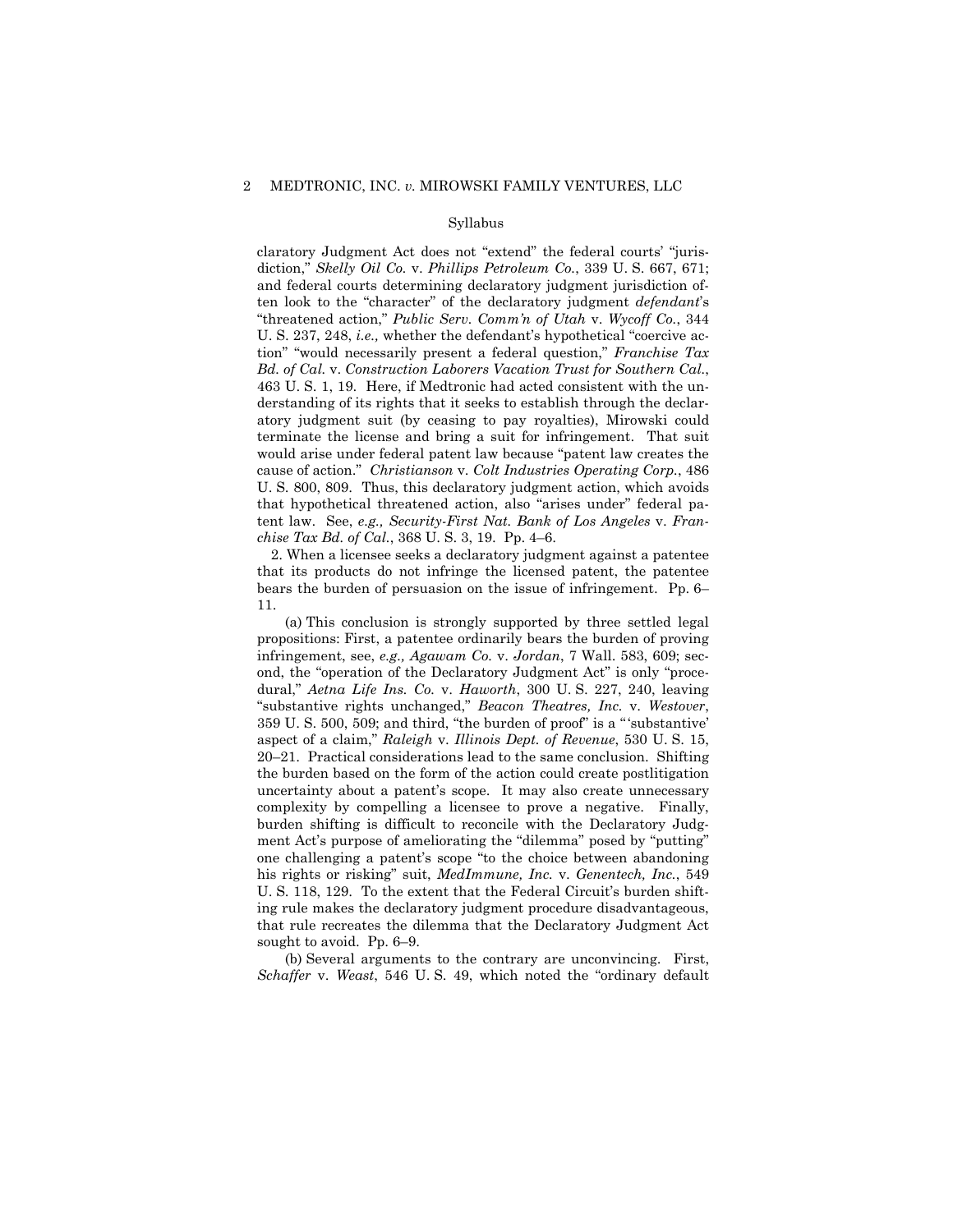#### Syllabus

claratory Judgment Act does not "extend" the federal courts' "jurisdiction," *Skelly Oil Co.* v. *Phillips Petroleum Co.*, 339 U. S. 667, 671; and federal courts determining declaratory judgment jurisdiction often look to the "character" of the declaratory judgment *defendant*'s "threatened action," *Public Serv. Comm'n of Utah* v. *Wycoff Co.*, 344 U. S. 237, 248, *i.e.,* whether the defendant's hypothetical "coercive action" "would necessarily present a federal question," *Franchise Tax Bd. of Cal.* v. *Construction Laborers Vacation Trust for Southern Cal.*, 463 U. S. 1, 19. Here, if Medtronic had acted consistent with the understanding of its rights that it seeks to establish through the declaratory judgment suit (by ceasing to pay royalties), Mirowski could terminate the license and bring a suit for infringement. That suit would arise under federal patent law because "patent law creates the cause of action." *Christianson* v. *Colt Industries Operating Corp.*, 486 U. S. 800, 809. Thus, this declaratory judgment action, which avoids that hypothetical threatened action, also "arises under" federal patent law. See, *e.g., Security-First Nat. Bank of Los Angeles* v. *Franchise Tax Bd. of Cal.*, 368 U. S. 3, 19. Pp. 4–6.

2. When a licensee seeks a declaratory judgment against a patentee that its products do not infringe the licensed patent, the patentee bears the burden of persuasion on the issue of infringement. Pp. 6– 11.

(a) This conclusion is strongly supported by three settled legal propositions: First, a patentee ordinarily bears the burden of proving infringement, see, *e.g., Agawam Co.* v. *Jordan*, 7 Wall. 583, 609; second, the "operation of the Declaratory Judgment Act" is only "procedural," *Aetna Life Ins. Co.* v. *Haworth*, 300 U. S. 227, 240, leaving "substantive rights unchanged," *Beacon Theatres, Inc.* v. *Westover*, 359 U. S. 500, 509; and third, "the burden of proof" is a " 'substantive' aspect of a claim," *Raleigh* v. *Illinois Dept. of Revenue*, 530 U. S. 15, 20–21. Practical considerations lead to the same conclusion. Shifting the burden based on the form of the action could create postlitigation uncertainty about a patent's scope. It may also create unnecessary complexity by compelling a licensee to prove a negative. Finally, burden shifting is difficult to reconcile with the Declaratory Judgment Act's purpose of ameliorating the "dilemma" posed by "putting" one challenging a patent's scope "to the choice between abandoning his rights or risking" suit, *MedImmune, Inc.* v. *Genentech, Inc.*, 549 U. S. 118, 129. To the extent that the Federal Circuit's burden shifting rule makes the declaratory judgment procedure disadvantageous, that rule recreates the dilemma that the Declaratory Judgment Act sought to avoid. Pp. 6–9.

(b) Several arguments to the contrary are unconvincing. First, *Schaffer* v. *Weast*, 546 U. S. 49, which noted the "ordinary default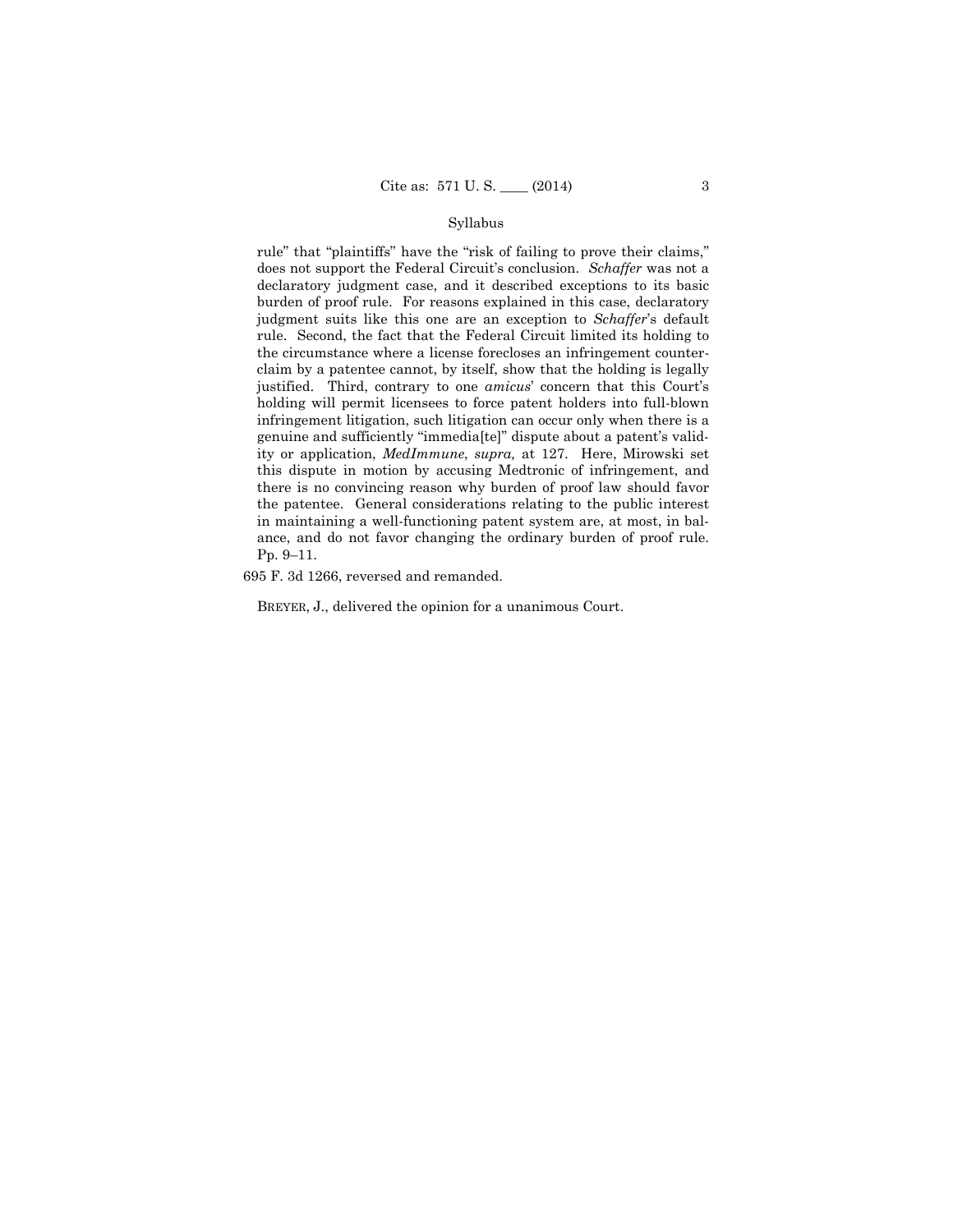## Syllabus

rule" that "plaintiffs" have the "risk of failing to prove their claims," does not support the Federal Circuit's conclusion. *Schaffer* was not a declaratory judgment case, and it described exceptions to its basic burden of proof rule. For reasons explained in this case, declaratory judgment suits like this one are an exception to *Schaffer*'s default rule. Second, the fact that the Federal Circuit limited its holding to the circumstance where a license forecloses an infringement counterclaim by a patentee cannot, by itself, show that the holding is legally justified. Third, contrary to one *amicus*' concern that this Court's holding will permit licensees to force patent holders into full-blown infringement litigation, such litigation can occur only when there is a genuine and sufficiently "immedia[te]" dispute about a patent's validity or application, *MedImmune*, *supra,* at 127. Here, Mirowski set this dispute in motion by accusing Medtronic of infringement, and there is no convincing reason why burden of proof law should favor the patentee. General considerations relating to the public interest in maintaining a well-functioning patent system are, at most, in balance, and do not favor changing the ordinary burden of proof rule. Pp. 9–11.

695 F. 3d 1266, reversed and remanded.

BREYER, J., delivered the opinion for a unanimous Court.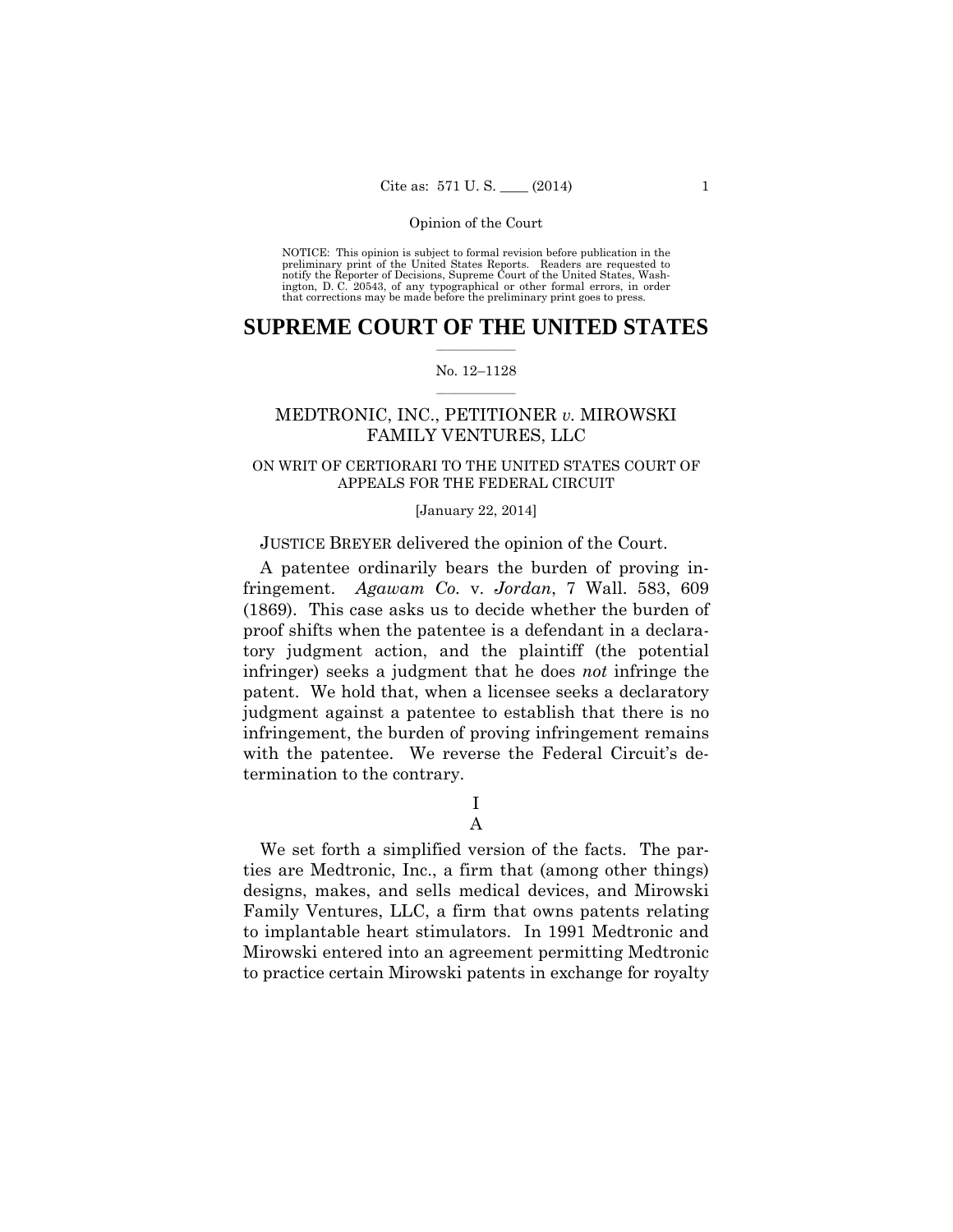preliminary print of the United States Reports. Readers are requested to notify the Reporter of Decisions, Supreme Court of the United States, Wash- ington, D. C. 20543, of any typographical or other formal errors, in order that corrections may be made before the preliminary print goes to press. NOTICE: This opinion is subject to formal revision before publication in the

## $\frac{1}{2}$  ,  $\frac{1}{2}$  ,  $\frac{1}{2}$  ,  $\frac{1}{2}$  ,  $\frac{1}{2}$  ,  $\frac{1}{2}$  ,  $\frac{1}{2}$ **SUPREME COURT OF THE UNITED STATES**

#### $\frac{1}{2}$  ,  $\frac{1}{2}$  ,  $\frac{1}{2}$  ,  $\frac{1}{2}$  ,  $\frac{1}{2}$  ,  $\frac{1}{2}$ No. 12–1128

## MEDTRONIC, INC., PETITIONER *v.* MIROWSKI FAMILY VENTURES, LLC

## ON WRIT OF CERTIORARI TO THE UNITED STATES COURT OF APPEALS FOR THE FEDERAL CIRCUIT

#### [January 22, 2014]

## JUSTICE BREYER delivered the opinion of the Court.

A patentee ordinarily bears the burden of proving infringement. *Agawam Co.* v. *Jordan*, 7 Wall. 583, 609 (1869). This case asks us to decide whether the burden of proof shifts when the patentee is a defendant in a declaratory judgment action, and the plaintiff (the potential infringer) seeks a judgment that he does *not* infringe the patent. We hold that, when a licensee seeks a declaratory judgment against a patentee to establish that there is no infringement, the burden of proving infringement remains with the patentee. We reverse the Federal Circuit's determination to the contrary.

I

## A

We set forth a simplified version of the facts. The parties are Medtronic, Inc., a firm that (among other things) designs, makes, and sells medical devices, and Mirowski Family Ventures, LLC, a firm that owns patents relating to implantable heart stimulators. In 1991 Medtronic and Mirowski entered into an agreement permitting Medtronic to practice certain Mirowski patents in exchange for royalty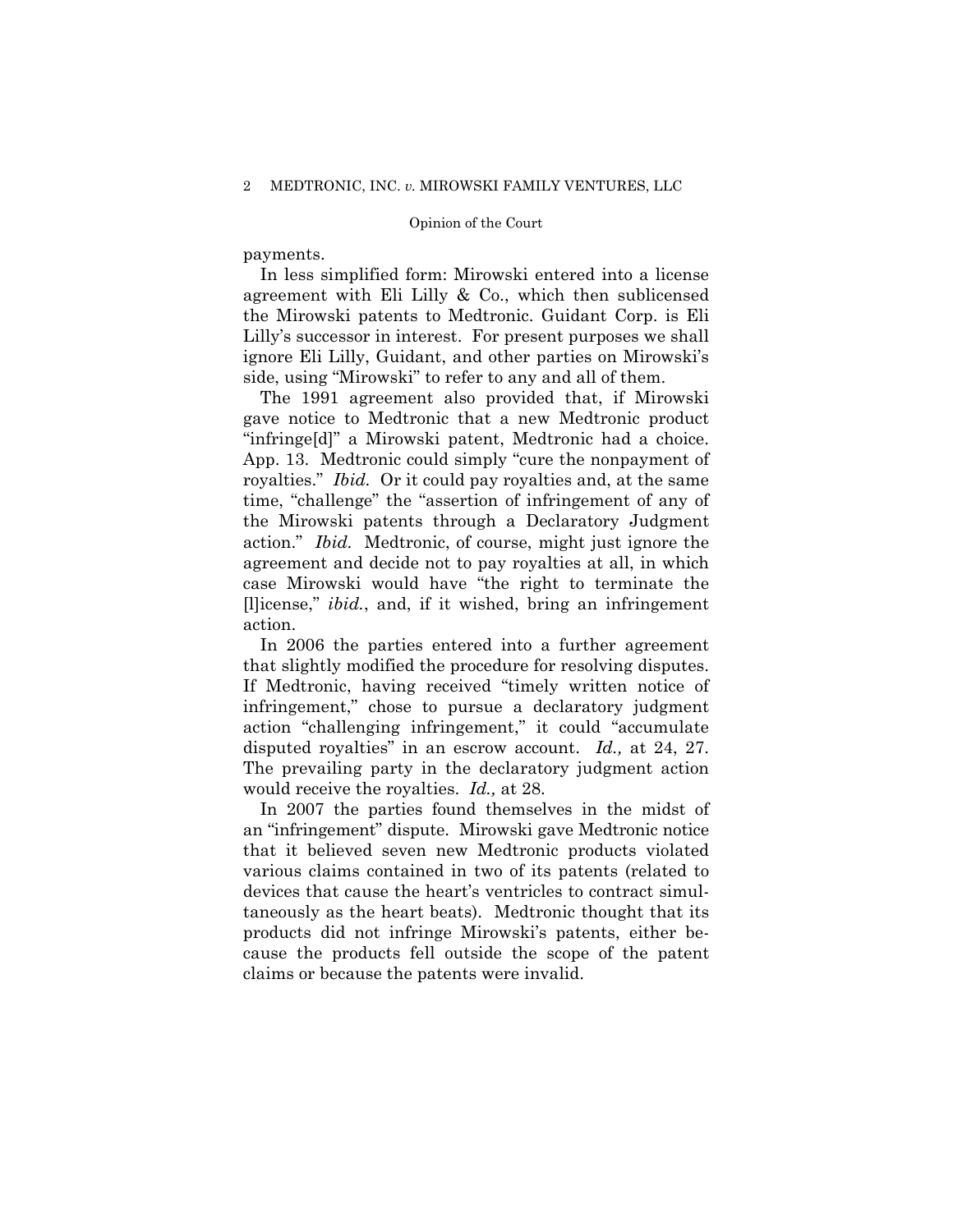payments.

In less simplified form: Mirowski entered into a license agreement with Eli Lilly & Co., which then sublicensed the Mirowski patents to Medtronic. Guidant Corp. is Eli Lilly's successor in interest. For present purposes we shall ignore Eli Lilly, Guidant, and other parties on Mirowski's side, using "Mirowski" to refer to any and all of them.

The 1991 agreement also provided that, if Mirowski gave notice to Medtronic that a new Medtronic product "infringe[d]" a Mirowski patent, Medtronic had a choice. App. 13. Medtronic could simply "cure the nonpayment of royalties." *Ibid.* Or it could pay royalties and, at the same time, "challenge" the "assertion of infringement of any of the Mirowski patents through a Declaratory Judgment action." *Ibid.* Medtronic, of course, might just ignore the agreement and decide not to pay royalties at all, in which case Mirowski would have "the right to terminate the [l]icense," *ibid.*, and, if it wished, bring an infringement action.

In 2006 the parties entered into a further agreement that slightly modified the procedure for resolving disputes. If Medtronic, having received "timely written notice of infringement," chose to pursue a declaratory judgment action "challenging infringement," it could "accumulate disputed royalties" in an escrow account. *Id.,* at 24, 27. The prevailing party in the declaratory judgment action would receive the royalties. *Id.,* at 28.

 In 2007 the parties found themselves in the midst of an "infringement" dispute. Mirowski gave Medtronic notice that it believed seven new Medtronic products violated various claims contained in two of its patents (related to devices that cause the heart's ventricles to contract simultaneously as the heart beats). Medtronic thought that its products did not infringe Mirowski's patents, either because the products fell outside the scope of the patent claims or because the patents were invalid.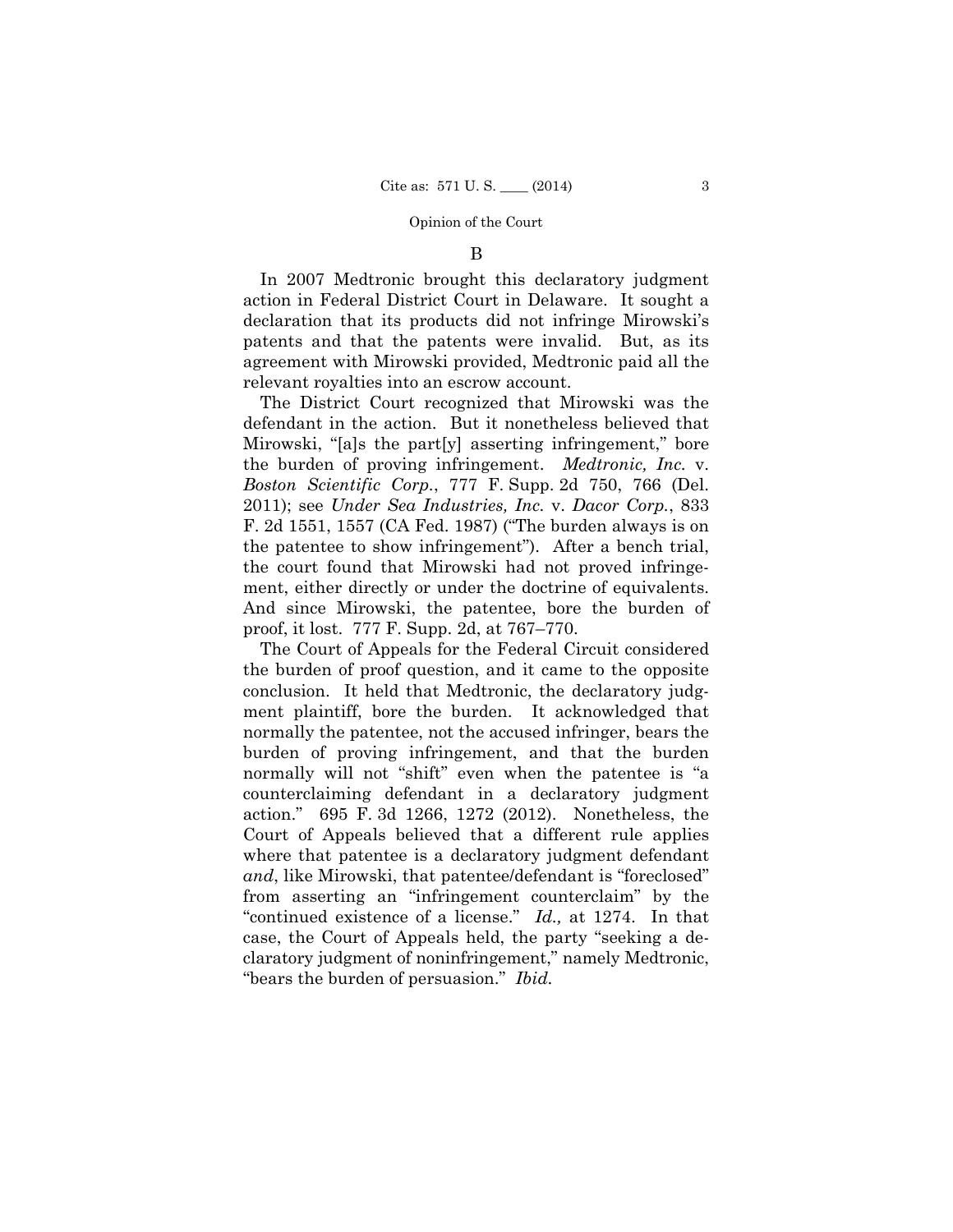## B

In 2007 Medtronic brought this declaratory judgment action in Federal District Court in Delaware. It sought a declaration that its products did not infringe Mirowski's patents and that the patents were invalid. But, as its agreement with Mirowski provided, Medtronic paid all the relevant royalties into an escrow account.

The District Court recognized that Mirowski was the defendant in the action. But it nonetheless believed that Mirowski, "[a]s the part[y] asserting infringement," bore the burden of proving infringement. *Medtronic, Inc.* v. *Boston Scientific Corp.*, 777 F. Supp. 2d 750, 766 (Del. 2011); see *Under Sea Industries, Inc.* v. *Dacor Corp.*, 833 F. 2d 1551, 1557 (CA Fed. 1987) ("The burden always is on the patentee to show infringement"). After a bench trial, the court found that Mirowski had not proved infringement, either directly or under the doctrine of equivalents. And since Mirowski, the patentee, bore the burden of proof, it lost. 777 F. Supp. 2d, at 767–770.

 "continued existence of a license." *Id.,* at 1274. In that The Court of Appeals for the Federal Circuit considered the burden of proof question, and it came to the opposite conclusion. It held that Medtronic, the declaratory judgment plaintiff, bore the burden. It acknowledged that normally the patentee, not the accused infringer, bears the burden of proving infringement, and that the burden normally will not "shift" even when the patentee is "a counterclaiming defendant in a declaratory judgment action." 695 F. 3d 1266, 1272 (2012). Nonetheless, the Court of Appeals believed that a different rule applies where that patentee is a declaratory judgment defendant *and*, like Mirowski, that patentee/defendant is "foreclosed" from asserting an "infringement counterclaim" by the case, the Court of Appeals held, the party "seeking a declaratory judgment of noninfringement," namely Medtronic, "bears the burden of persuasion." *Ibid.*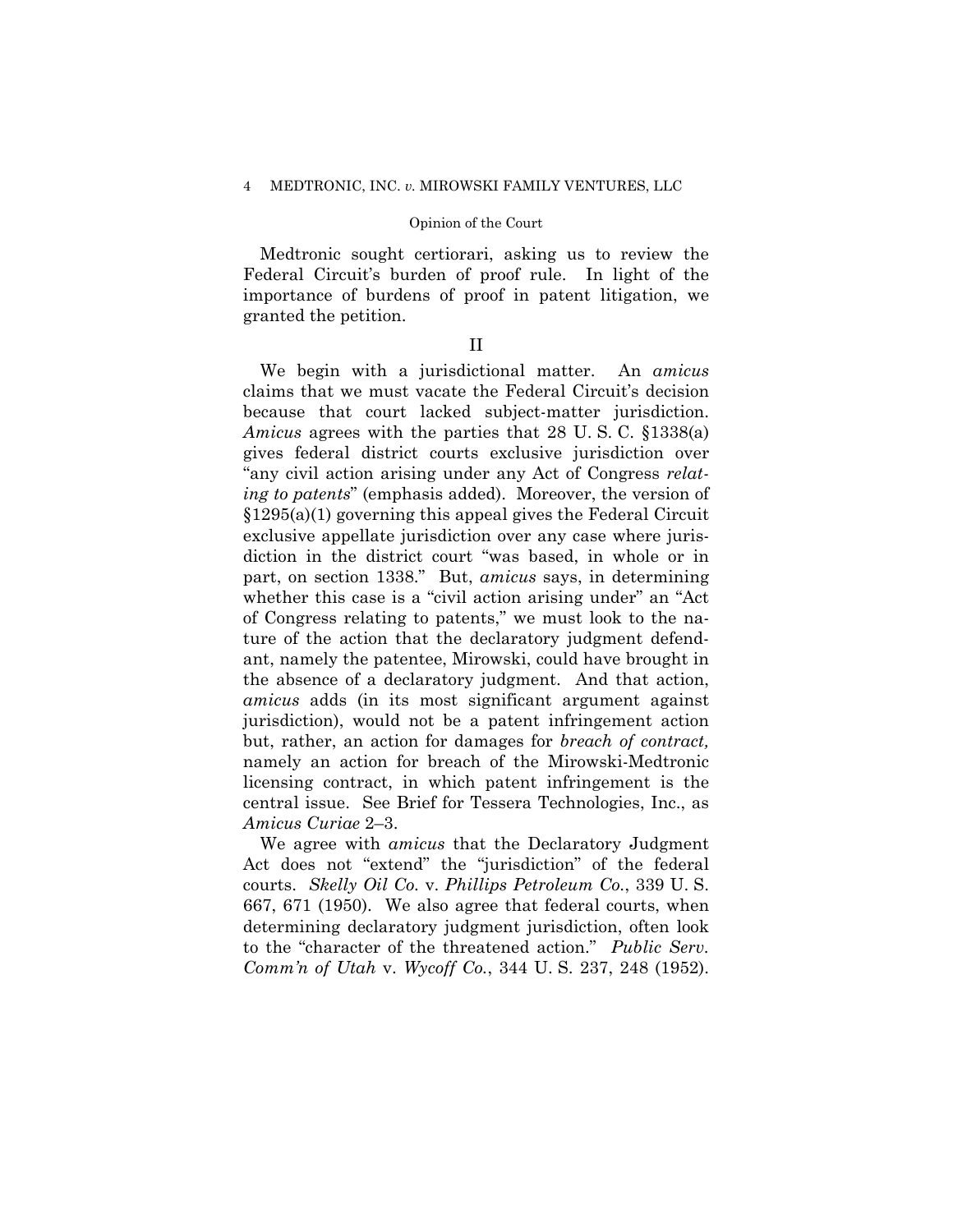#### 4 MEDTRONIC, INC. *v.* MIROWSKI FAMILY VENTURES, LLC

#### Opinion of the Court

Medtronic sought certiorari, asking us to review the Federal Circuit's burden of proof rule. In light of the importance of burdens of proof in patent litigation, we granted the petition.

## II

 because that court lacked subject-matter jurisdiction. diction in the district court "was based, in whole or in part, on section 1338." But, *amicus* says, in determining We begin with a jurisdictional matter. An *amicus*  claims that we must vacate the Federal Circuit's decision *Amicus* agrees with the parties that 28 U. S. C. §1338(a) gives federal district courts exclusive jurisdiction over "any civil action arising under any Act of Congress *relating to patents*" (emphasis added). Moreover, the version of §1295(a)(1) governing this appeal gives the Federal Circuit exclusive appellate jurisdiction over any case where juriswhether this case is a "civil action arising under" an "Act of Congress relating to patents," we must look to the nature of the action that the declaratory judgment defendant, namely the patentee, Mirowski, could have brought in the absence of a declaratory judgment. And that action, *amicus* adds (in its most significant argument against jurisdiction), would not be a patent infringement action but, rather, an action for damages for *breach of contract,*  namely an action for breach of the Mirowski-Medtronic licensing contract, in which patent infringement is the central issue. See Brief for Tessera Technologies, Inc., as *Amicus Curiae* 2–3.

We agree with *amicus* that the Declaratory Judgment Act does not "extend" the "jurisdiction" of the federal courts. *Skelly Oil Co.* v. *Phillips Petroleum Co.*, 339 U. S. 667, 671 (1950). We also agree that federal courts, when determining declaratory judgment jurisdiction, often look to the "character of the threatened action." *Public Serv. Comm'n of Utah* v. *Wycoff Co.*, 344 U. S. 237, 248 (1952).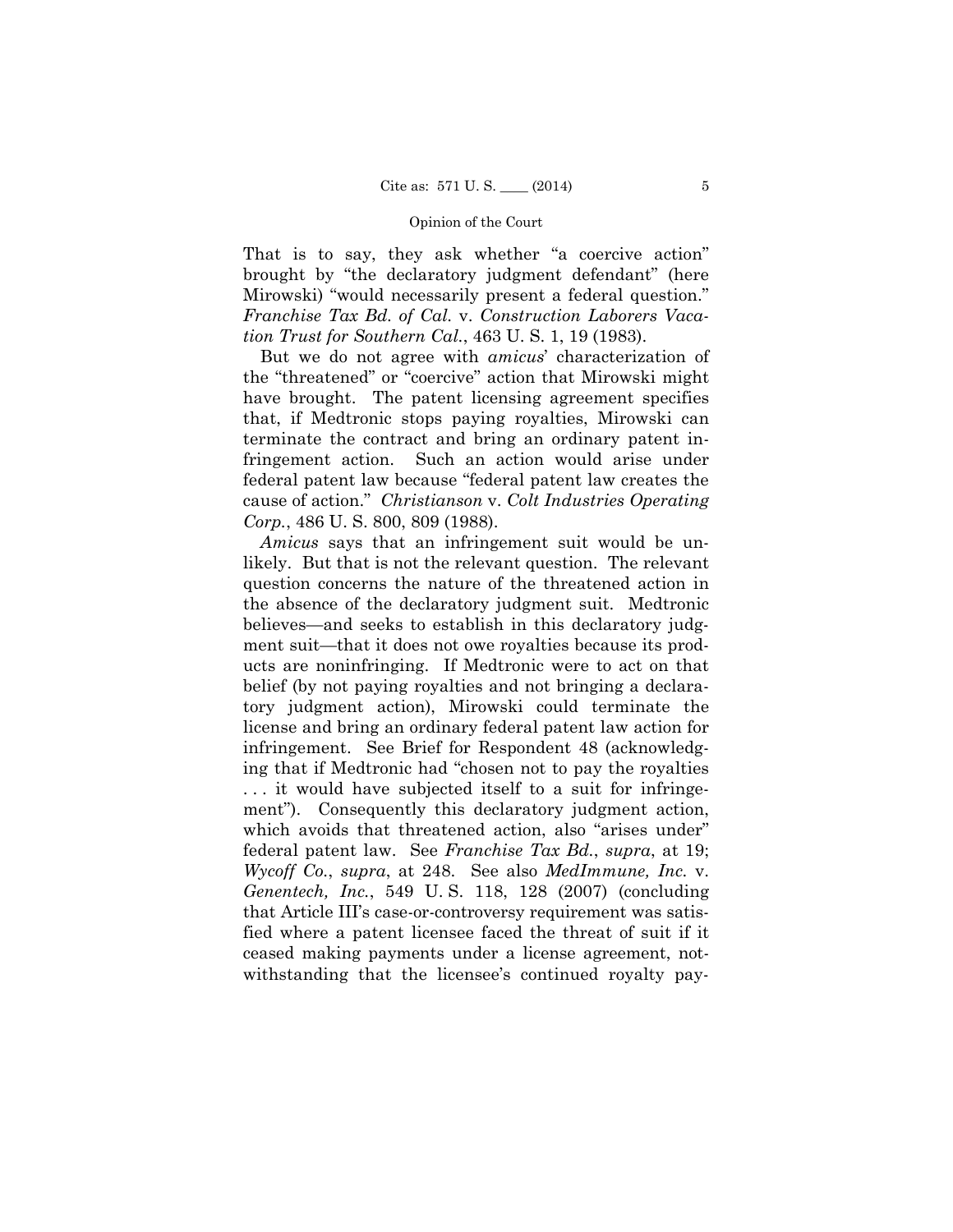That is to say, they ask whether "a coercive action" brought by "the declaratory judgment defendant" (here Mirowski) "would necessarily present a federal question." *Franchise Tax Bd. of Cal.* v. *Construction Laborers Vacation Trust for Southern Cal.*, 463 U. S. 1, 19 (1983).

But we do not agree with *amicus*' characterization of the "threatened" or "coercive" action that Mirowski might have brought. The patent licensing agreement specifies that, if Medtronic stops paying royalties, Mirowski can terminate the contract and bring an ordinary patent infringement action. Such an action would arise under federal patent law because "federal patent law creates the cause of action." *Christianson* v. *Colt Industries Operating Corp.*, 486 U. S. 800, 809 (1988).

*Amicus* says that an infringement suit would be unlikely. But that is not the relevant question. The relevant question concerns the nature of the threatened action in the absence of the declaratory judgment suit. Medtronic believes—and seeks to establish in this declaratory judgment suit—that it does not owe royalties because its products are noninfringing. If Medtronic were to act on that belief (by not paying royalties and not bringing a declaratory judgment action), Mirowski could terminate the license and bring an ordinary federal patent law action for infringement. See Brief for Respondent 48 (acknowledging that if Medtronic had "chosen not to pay the royalties . . . it would have subjected itself to a suit for infringement"). Consequently this declaratory judgment action, which avoids that threatened action, also "arises under" federal patent law. See *Franchise Tax Bd.*, *supra*, at 19; *Wycoff Co.*, *supra*, at 248. See also *MedImmune, Inc.* v. *Genentech, Inc.*, 549 U. S. 118, 128 (2007) (concluding that Article III's case-or-controversy requirement was satisfied where a patent licensee faced the threat of suit if it ceased making payments under a license agreement, notwithstanding that the licensee's continued royalty pay-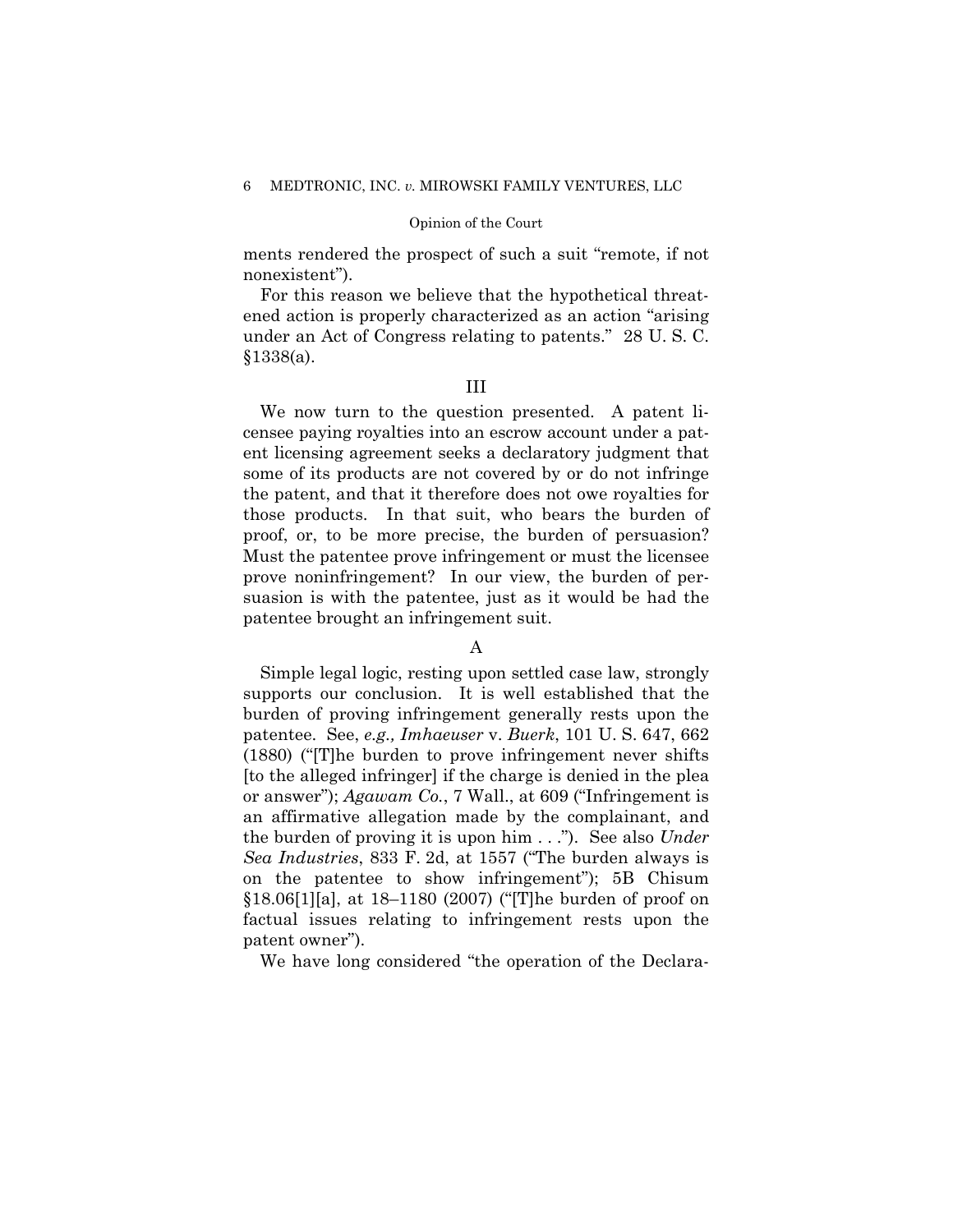ments rendered the prospect of such a suit "remote, if not nonexistent").

For this reason we believe that the hypothetical threatened action is properly characterized as an action "arising under an Act of Congress relating to patents." 28 U. S. C. §1338(a).

## III

We now turn to the question presented. A patent licensee paying royalties into an escrow account under a patent licensing agreement seeks a declaratory judgment that some of its products are not covered by or do not infringe the patent, and that it therefore does not owe royalties for those products. In that suit, who bears the burden of proof, or, to be more precise, the burden of persuasion? Must the patentee prove infringement or must the licensee prove noninfringement? In our view, the burden of persuasion is with the patentee, just as it would be had the patentee brought an infringement suit.

## A

Simple legal logic, resting upon settled case law, strongly supports our conclusion. It is well established that the burden of proving infringement generally rests upon the patentee. See, *e.g., Imhaeuser* v. *Buerk*, 101 U. S. 647, 662 (1880) ("[T]he burden to prove infringement never shifts [to the alleged infringer] if the charge is denied in the plea or answer"); *Agawam Co.*, 7 Wall., at 609 ("Infringement is an affirmative allegation made by the complainant, and the burden of proving it is upon him . . ."). See also *Under Sea Industries*, 833 F. 2d, at 1557 ("The burden always is on the patentee to show infringement"); 5B Chisum §18.06[1][a], at 18–1180 (2007) ("[T]he burden of proof on factual issues relating to infringement rests upon the patent owner").

We have long considered "the operation of the Declara-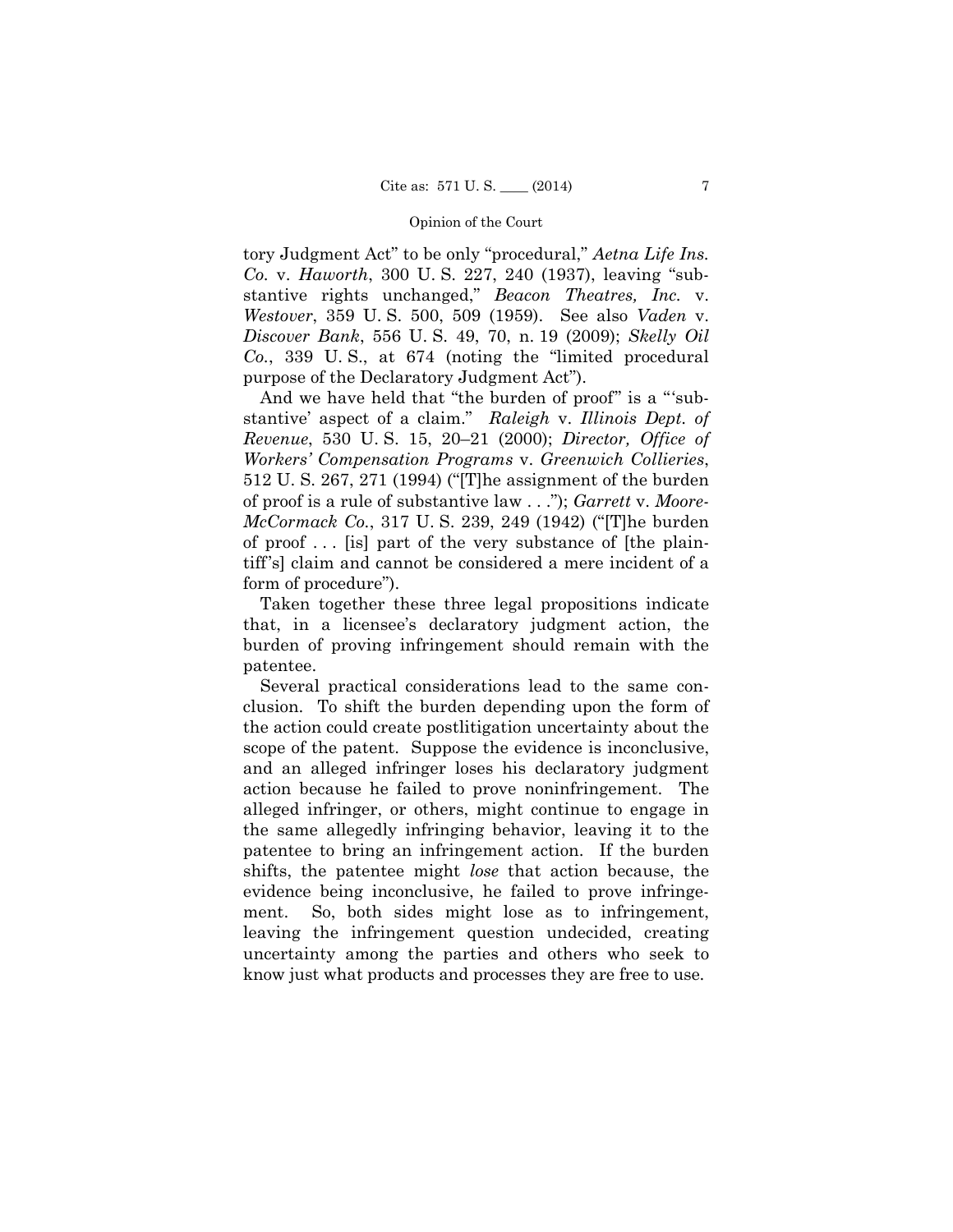tory Judgment Act" to be only "procedural," *Aetna Life Ins. Co.* v. *Haworth*, 300 U. S. 227, 240 (1937), leaving "substantive rights unchanged," *Beacon Theatres, Inc.* v. *Westover*, 359 U. S. 500, 509 (1959). See also *Vaden* v. *Discover Bank*, 556 U. S. 49, 70, n. 19 (2009); *Skelly Oil Co.*, 339 U. S., at 674 (noting the "limited procedural purpose of the Declaratory Judgment Act").

And we have held that "the burden of proof" is a "'substantive' aspect of a claim." *Raleigh* v. *Illinois Dept. of Revenue*, 530 U. S. 15, 20–21 (2000); *Director, Office of Workers' Compensation Programs* v. *Greenwich Collieries*, 512 U. S. 267, 271 (1994) ("[T]he assignment of the burden of proof is a rule of substantive law . . ."); *Garrett* v. *Moore-McCormack Co.*, 317 U. S. 239, 249 (1942) ("[T]he burden of proof . . . [is] part of the very substance of [the plaintiff's] claim and cannot be considered a mere incident of a form of procedure").

Taken together these three legal propositions indicate that, in a licensee's declaratory judgment action, the burden of proving infringement should remain with the patentee.

Several practical considerations lead to the same conclusion. To shift the burden depending upon the form of the action could create postlitigation uncertainty about the scope of the patent. Suppose the evidence is inconclusive, and an alleged infringer loses his declaratory judgment action because he failed to prove noninfringement. The alleged infringer, or others, might continue to engage in the same allegedly infringing behavior, leaving it to the patentee to bring an infringement action. If the burden shifts, the patentee might *lose* that action because, the evidence being inconclusive, he failed to prove infringement. So, both sides might lose as to infringement, leaving the infringement question undecided, creating uncertainty among the parties and others who seek to know just what products and processes they are free to use.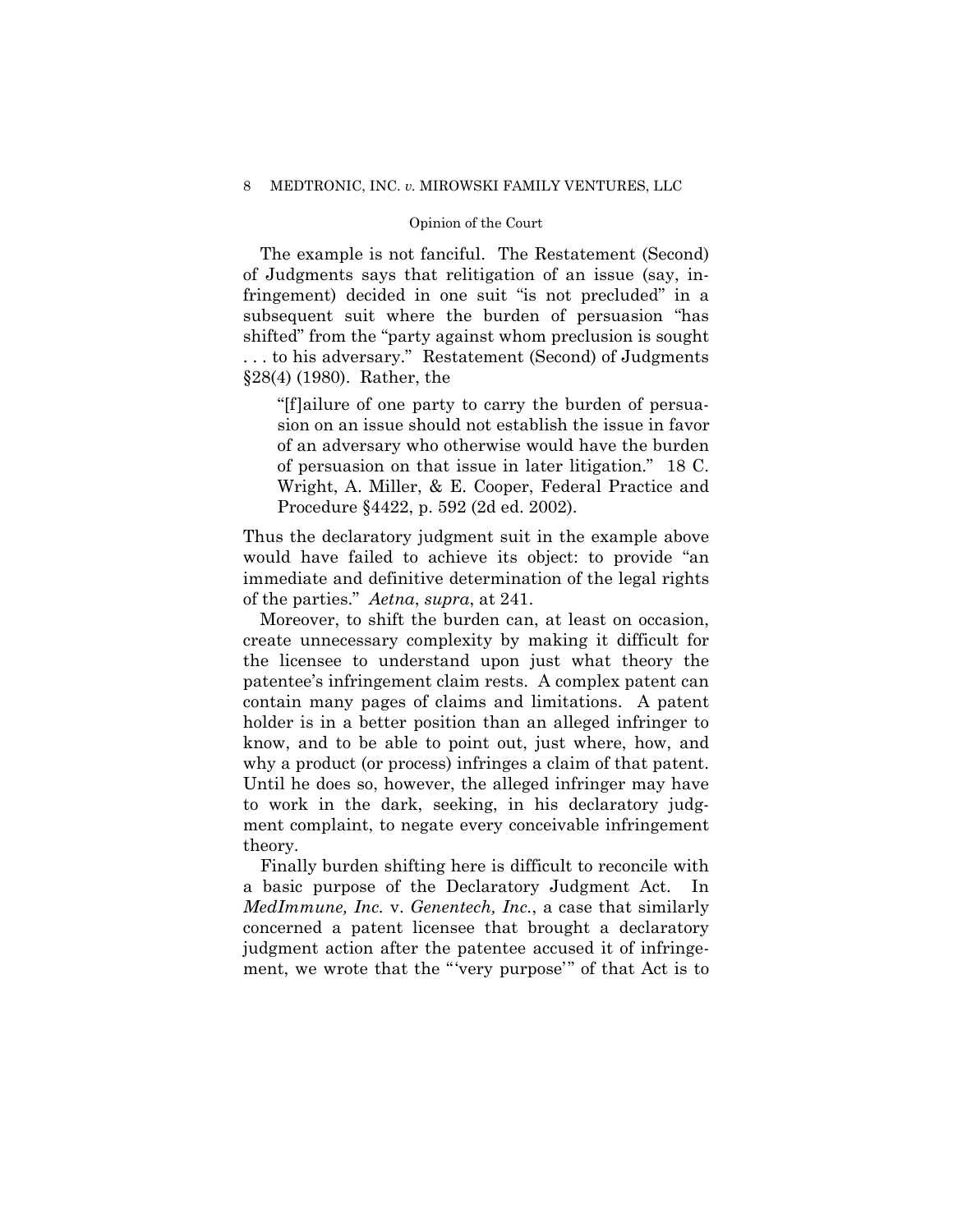## 8 MEDTRONIC, INC. *v.* MIROWSKI FAMILY VENTURES, LLC

## Opinion of the Court

The example is not fanciful. The Restatement (Second) of Judgments says that relitigation of an issue (say, infringement) decided in one suit "is not precluded" in a subsequent suit where the burden of persuasion "has shifted" from the "party against whom preclusion is sought . . . to his adversary." Restatement (Second) of Judgments §28(4) (1980). Rather, the

"[f]ailure of one party to carry the burden of persuasion on an issue should not establish the issue in favor of an adversary who otherwise would have the burden of persuasion on that issue in later litigation." 18 C. Wright, A. Miller, & E. Cooper, Federal Practice and Procedure §4422, p. 592 (2d ed. 2002).

Thus the declaratory judgment suit in the example above would have failed to achieve its object: to provide "an immediate and definitive determination of the legal rights of the parties." *Aetna*, *supra*, at 241.

Moreover, to shift the burden can, at least on occasion, create unnecessary complexity by making it difficult for the licensee to understand upon just what theory the patentee's infringement claim rests. A complex patent can contain many pages of claims and limitations. A patent holder is in a better position than an alleged infringer to know, and to be able to point out, just where, how, and why a product (or process) infringes a claim of that patent. Until he does so, however, the alleged infringer may have to work in the dark, seeking, in his declaratory judgment complaint, to negate every conceivable infringement theory.

Finally burden shifting here is difficult to reconcile with a basic purpose of the Declaratory Judgment Act. In *MedImmune, Inc.* v. *Genentech, Inc.*, a case that similarly concerned a patent licensee that brought a declaratory judgment action after the patentee accused it of infringement, we wrote that the "'very purpose'" of that Act is to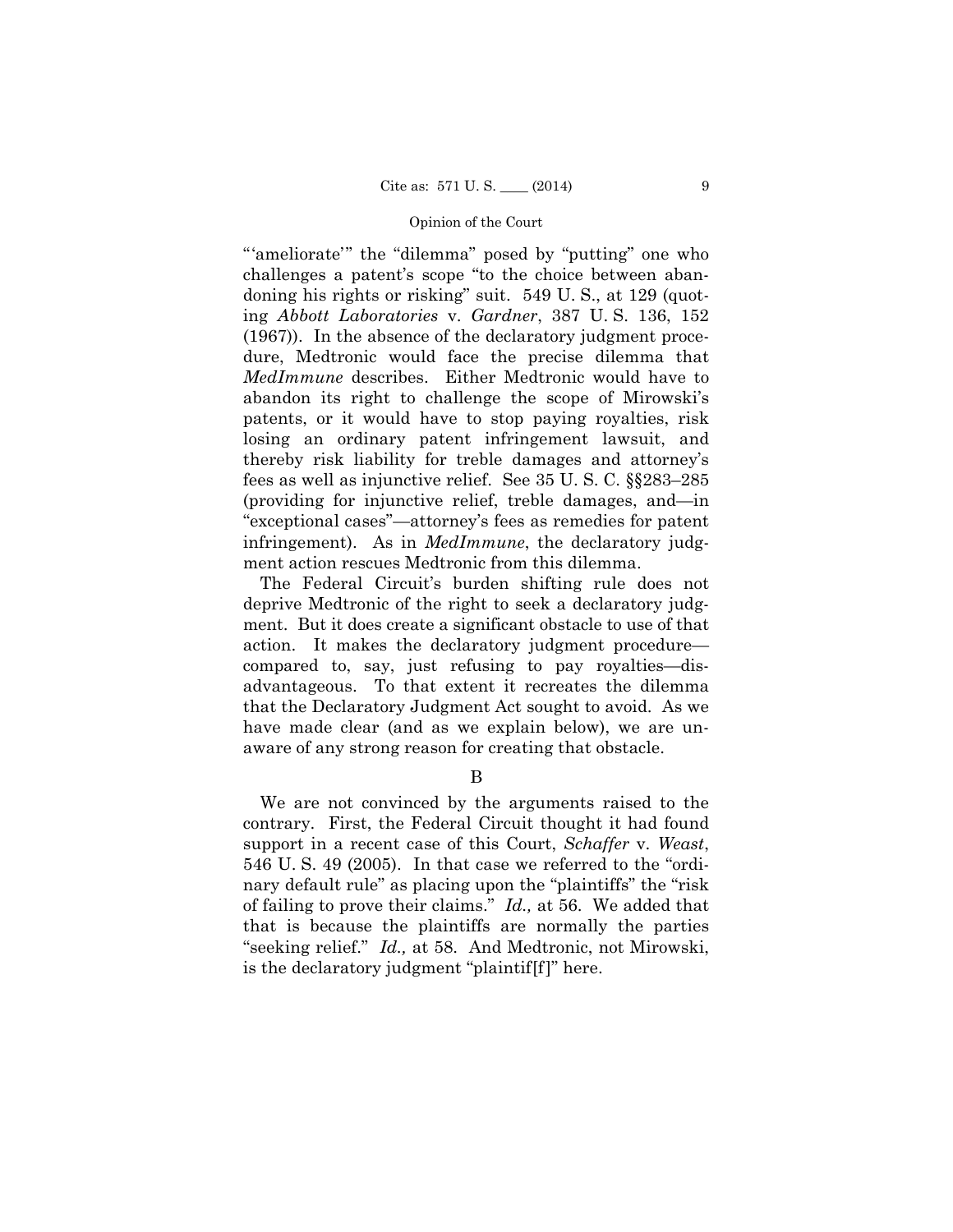"'ameliorate'" the "dilemma" posed by "putting" one who challenges a patent's scope "to the choice between abandoning his rights or risking" suit. 549 U. S., at 129 (quoting *Abbott Laboratories* v. *Gardner*, 387 U. S. 136, 152 (1967)). In the absence of the declaratory judgment procedure, Medtronic would face the precise dilemma that *MedImmune* describes. Either Medtronic would have to abandon its right to challenge the scope of Mirowski's patents, or it would have to stop paying royalties, risk losing an ordinary patent infringement lawsuit, and thereby risk liability for treble damages and attorney's fees as well as injunctive relief. See 35 U. S. C. §§283–285 (providing for injunctive relief, treble damages, and—in "exceptional cases"—attorney's fees as remedies for patent infringement). As in *MedImmune*, the declaratory judgment action rescues Medtronic from this dilemma.

The Federal Circuit's burden shifting rule does not deprive Medtronic of the right to seek a declaratory judgment. But it does create a significant obstacle to use of that action. It makes the declaratory judgment procedure compared to, say, just refusing to pay royalties—disadvantageous. To that extent it recreates the dilemma that the Declaratory Judgment Act sought to avoid. As we have made clear (and as we explain below), we are unaware of any strong reason for creating that obstacle.

B

We are not convinced by the arguments raised to the contrary. First, the Federal Circuit thought it had found support in a recent case of this Court, *Schaffer* v. *Weast*, 546 U. S. 49 (2005). In that case we referred to the "ordinary default rule" as placing upon the "plaintiffs" the "risk of failing to prove their claims." *Id.,* at 56. We added that that is because the plaintiffs are normally the parties "seeking relief." *Id.,* at 58. And Medtronic, not Mirowski, is the declaratory judgment "plaintif[f]" here.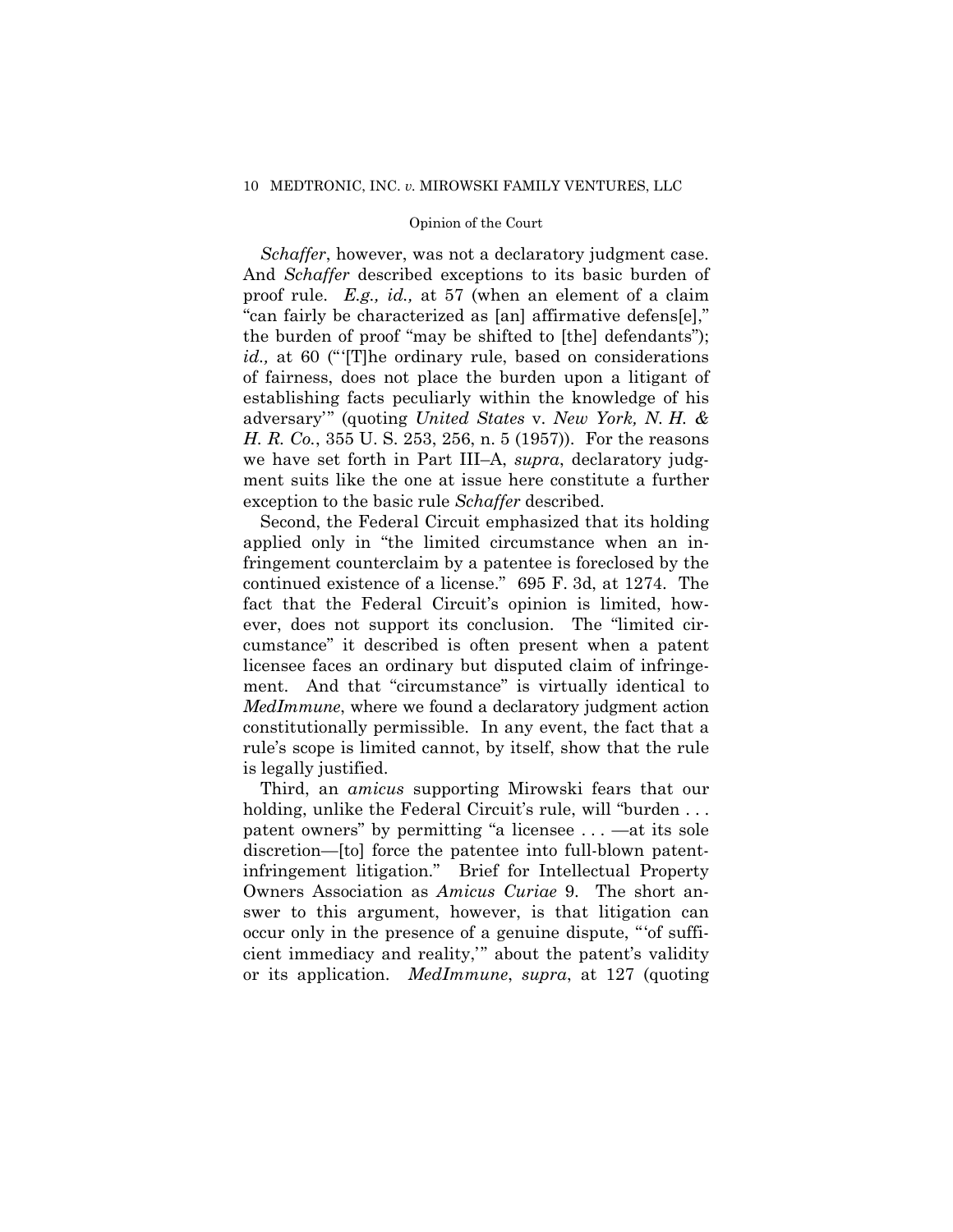## 10 MEDTRONIC, INC. *v.* MIROWSKI FAMILY VENTURES, LLC

#### Opinion of the Court

*Schaffer*, however, was not a declaratory judgment case. And *Schaffer* described exceptions to its basic burden of proof rule. *E.g., id.,* at 57 (when an element of a claim "can fairly be characterized as [an] affirmative defens[e]," the burden of proof "may be shifted to [the] defendants"); *id.,* at 60 ("'[T]he ordinary rule, based on considerations of fairness, does not place the burden upon a litigant of establishing facts peculiarly within the knowledge of his adversary'" (quoting *United States* v. *New York, N. H. & H. R. Co.*, 355 U. S. 253, 256, n. 5 (1957)). For the reasons we have set forth in Part III–A, *supra*, declaratory judgment suits like the one at issue here constitute a further exception to the basic rule *Schaffer* described.

Second, the Federal Circuit emphasized that its holding applied only in "the limited circumstance when an infringement counterclaim by a patentee is foreclosed by the continued existence of a license." 695 F. 3d, at 1274. The fact that the Federal Circuit's opinion is limited, however, does not support its conclusion. The "limited circumstance" it described is often present when a patent licensee faces an ordinary but disputed claim of infringement. And that "circumstance" is virtually identical to *MedImmune*, where we found a declaratory judgment action constitutionally permissible. In any event, the fact that a rule's scope is limited cannot, by itself, show that the rule is legally justified.

 Third, an *amicus* supporting Mirowski fears that our holding, unlike the Federal Circuit's rule, will "burden ... patent owners" by permitting "a licensee . . . —at its sole discretion—[to] force the patentee into full-blown patentinfringement litigation." Brief for Intellectual Property Owners Association as *Amicus Curiae* 9. The short answer to this argument, however, is that litigation can occur only in the presence of a genuine dispute, "'of sufficient immediacy and reality,'" about the patent's validity or its application. *MedImmune*, *supra*, at 127 (quoting